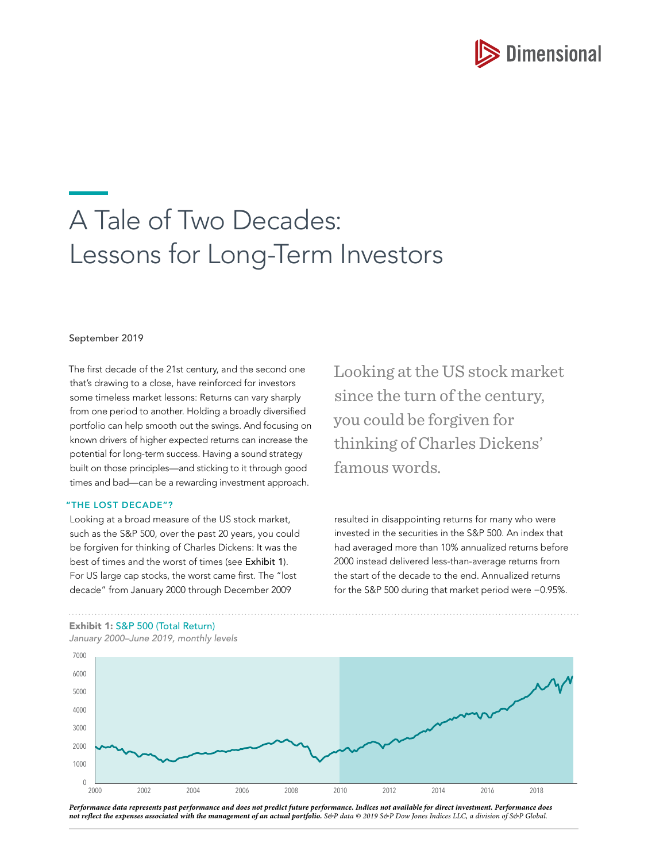

# A Tale of Two Decades: Lessons for Long-Term Investors

#### September 2019

The first decade of the 21st century, and the second one that's drawing to a close, have reinforced for investors some timeless market lessons: Returns can vary sharply from one period to another. Holding a broadly diversified portfolio can help smooth out the swings. And focusing on known drivers of higher expected returns can increase the potential for long-term success. Having a sound strategy built on those principles—and sticking to it through good times and bad—can be a rewarding investment approach.

#### "THE LOST DECADE"?

Looking at a broad measure of the US stock market, such as the S&P 500, over the past 20 years, you could be forgiven for thinking of Charles Dickens: It was the best of times and the worst of times (see Exhibit 1). For US large cap stocks, the worst came first. The "lost decade" from January 2000 through December 2009

Looking at the US stock market since the turn of the century, you could be forgiven for thinking of Charles Dickens' famous words.

resulted in disappointing returns for many who were invested in the securities in the S&P 500. An index that had averaged more than 10% annualized returns before 2000 instead delivered less-than-average returns from the start of the decade to the end. Annualized returns for the S&P 500 during that market period were −0.95%.

## Exhibit 1: S&P 500 (Total Return)

*January 2000–June 2019, monthly levels*



*Performance data represents past performance and does not predict future performance. Indices not available for direct investment. Performance does not reflect the expenses associated with the management of an actual portfolio. S&P data © 2019 S&P Dow Jones Indices LLC, a division of S&P Global.*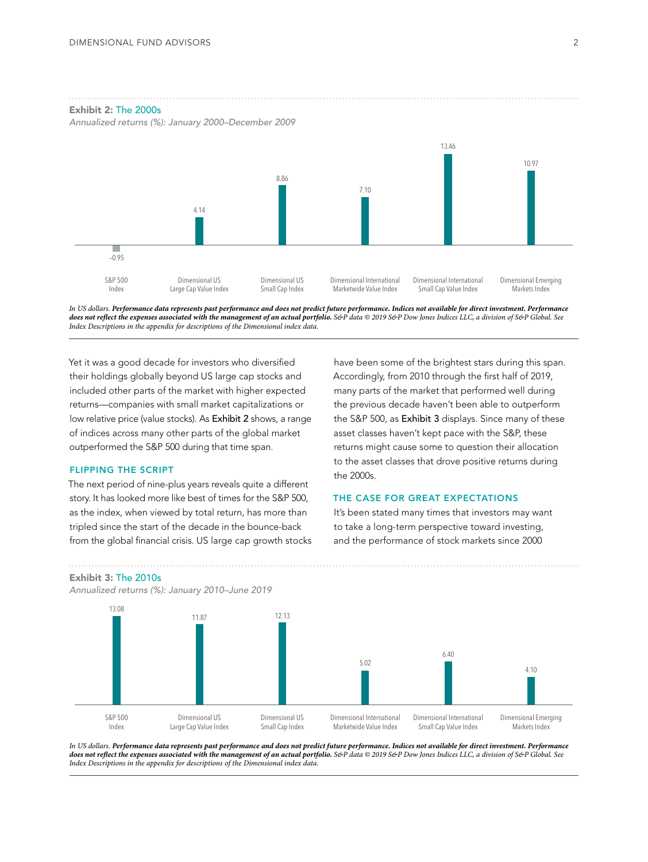#### Exhibit 2: The 2000s

*Annualized returns (%): January 2000–December 2009* 



*In US dollars. Performance data represents past performance and does not predict future performance. Indices not available for direct investment. Performance*  does not reflect the expenses associated with the management of an actual portfolio. S&P data © 2019 S&P Dow Jones Indices LLC, a division of S&P Global. See *Index Descriptions in the appendix for descriptions of the Dimensional index data.*

Yet it was a good decade for investors who diversified their holdings globally beyond US large cap stocks and included other parts of the market with higher expected returns—companies with small market capitalizations or low relative price (value stocks). As Exhibit 2 shows, a range of indices across many other parts of the global market outperformed the S&P 500 during that time span.

## FLIPPING THE SCRIPT

The next period of nine-plus years reveals quite a different story. It has looked more like best of times for the S&P 500, as the index, when viewed by total return, has more than tripled since the start of the decade in the bounce-back from the global financial crisis. US large cap growth stocks

have been some of the brightest stars during this span. Accordingly, from 2010 through the first half of 2019, many parts of the market that performed well during the previous decade haven't been able to outperform the S&P 500, as Exhibit 3 displays. Since many of these asset classes haven't kept pace with the S&P, these returns might cause some to question their allocation to the asset classes that drove positive returns during the 2000s.

### THE CASE FOR GREAT EXPECTATIONS

It's been stated many times that investors may want to take a long-term perspective toward investing, and the performance of stock markets since 2000



*In US dollars. Performance data represents past performance and does not predict future performance. Indices not available for direct investment. Performance*  does not reflect the expenses associated with the management of an actual portfolio. S&P data © 2019 S&P Dow Jones Indices LLC, a division of S&P Global. See *Index Descriptions in the appendix for descriptions of the Dimensional index data.*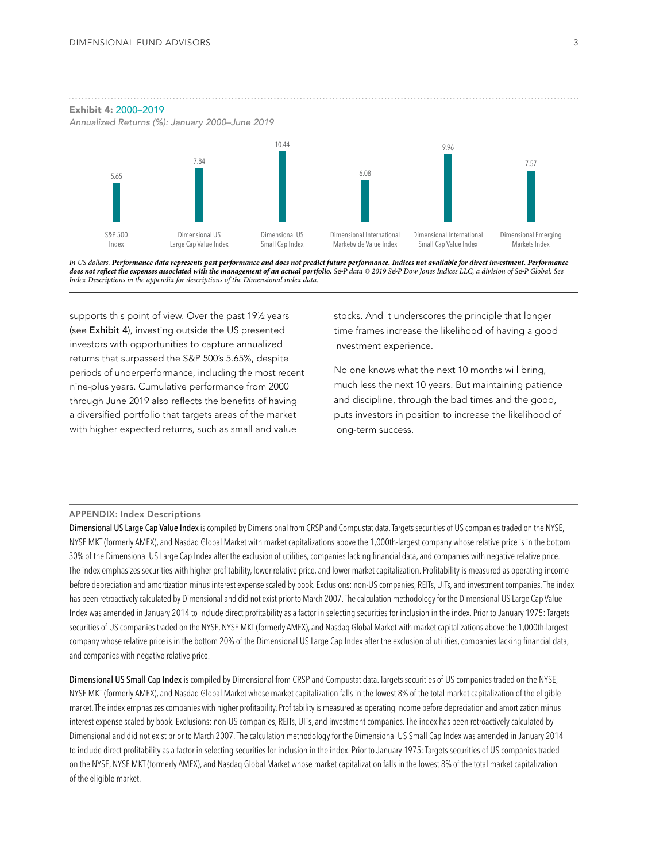#### Exhibit 4: 2000–2019

*Annualized Returns (%): January 2000–June 2019*



*In US dollars. Performance data represents past performance and does not predict future performance. Indices not available for direct investment. Performance*  does not reflect the expenses associated with the management of an actual portfolio. S&P data © 2019 S&P Dow Jones Indices LLC, a division of S&P Global. See *Index Descriptions in the appendix for descriptions of the Dimensional index data.* 

supports this point of view. Over the past 19½ years (see Exhibit 4), investing outside the US presented investors with opportunities to capture annualized returns that surpassed the S&P 500's 5.65%, despite periods of underperformance, including the most recent nine-plus years. Cumulative performance from 2000 through June 2019 also reflects the benefits of having a diversified portfolio that targets areas of the market with higher expected returns, such as small and value

stocks. And it underscores the principle that longer time frames increase the likelihood of having a good investment experience.

No one knows what the next 10 months will bring, much less the next 10 years. But maintaining patience and discipline, through the bad times and the good, puts investors in position to increase the likelihood of long-term success.

#### APPENDIX: Index Descriptions

Dimensional US Large Cap Value Index is compiled by Dimensional from CRSP and Compustat data. Targets securities of US companies traded on the NYSE, NYSE MKT (formerly AMEX), and Nasdaq Global Market with market capitalizations above the 1,000th-largest company whose relative price is in the bottom 30% of the Dimensional US Large Cap Index after the exclusion of utilities, companies lacking financial data, and companies with negative relative price. The index emphasizes securities with higher profitability, lower relative price, and lower market capitalization. Profitability is measured as operating income before depreciation and amortization minus interest expense scaled by book. Exclusions: non-US companies, REITs, UITs, and investment companies. The index has been retroactively calculated by Dimensional and did not exist prior to March 2007. The calculation methodology for the Dimensional US Large Cap Value Index was amended in January 2014 to include direct profitability as a factor in selecting securities for inclusion in the index. Prior to January 1975: Targets securities of US companies traded on the NYSE, NYSE MKT (formerly AMEX), and Nasdaq Global Market with market capitalizations above the 1,000th-largest company whose relative price is in the bottom 20% of the Dimensional US Large Cap Index after the exclusion of utilities, companies lacking financial data, and companies with negative relative price.

Dimensional US Small Cap Index is compiled by Dimensional from CRSP and Compustat data. Targets securities of US companies traded on the NYSE, NYSE MKT (formerly AMEX), and Nasdaq Global Market whose market capitalization falls in the lowest 8% of the total market capitalization of the eligible market. The index emphasizes companies with higher profitability. Profitability is measured as operating income before depreciation and amortization minus interest expense scaled by book. Exclusions: non-US companies, REITs, UITs, and investment companies. The index has been retroactively calculated by Dimensional and did not exist prior to March 2007. The calculation methodology for the Dimensional US Small Cap Index was amended in January 2014 to include direct profitability as a factor in selecting securities for inclusion in the index. Prior to January 1975: Targets securities of US companies traded on the NYSE, NYSE MKT (formerly AMEX), and Nasdaq Global Market whose market capitalization falls in the lowest 8% of the total market capitalization of the eligible market.